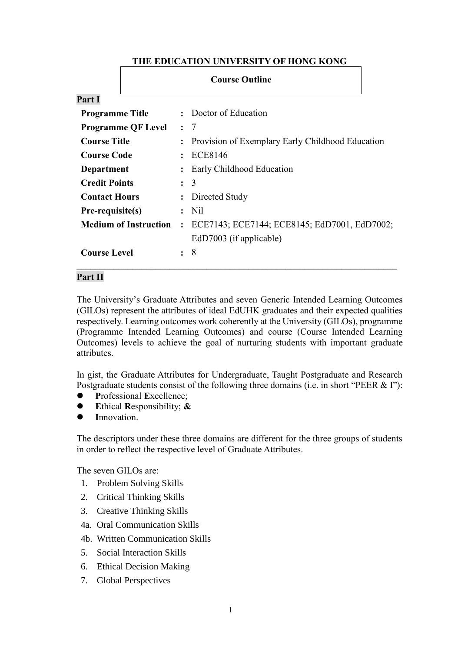# **THE EDUCATION UNIVERSITY OF HONG KONG**

|                                       | <b>Course Outline</b> |                                                  |  |  |  |  |
|---------------------------------------|-----------------------|--------------------------------------------------|--|--|--|--|
| Part I                                |                       |                                                  |  |  |  |  |
| <b>Programme Title</b>                |                       | Doctor of Education                              |  |  |  |  |
| <b>Programme QF Level</b>             | $\mathbf{L}$          | -7                                               |  |  |  |  |
| <b>Course Title</b><br>$\ddot{\cdot}$ |                       | Provision of Exemplary Early Childhood Education |  |  |  |  |
| <b>Course Code</b>                    |                       | ECE8146                                          |  |  |  |  |
| <b>Department</b>                     |                       | Early Childhood Education                        |  |  |  |  |
| <b>Credit Points</b>                  | $\mathbf{L}$          | 3                                                |  |  |  |  |
| <b>Contact Hours</b>                  |                       | Directed Study                                   |  |  |  |  |
| Pre-requisite(s)                      | $\bullet$             | N <sub>il</sub>                                  |  |  |  |  |
| <b>Medium of Instruction</b>          |                       | ECE7143; ECE7144; ECE8145; EdD7001, EdD7002;     |  |  |  |  |
|                                       |                       | EdD7003 (if applicable)                          |  |  |  |  |
| <b>Course Level</b>                   | ٠                     | 8                                                |  |  |  |  |

## **Part II**

The University's Graduate Attributes and seven Generic Intended Learning Outcomes (GILOs) represent the attributes of ideal EdUHK graduates and their expected qualities respectively. Learning outcomes work coherently at the University (GILOs), programme (Programme Intended Learning Outcomes) and course (Course Intended Learning Outcomes) levels to achieve the goal of nurturing students with important graduate attributes.

In gist, the Graduate Attributes for Undergraduate, Taught Postgraduate and Research Postgraduate students consist of the following three domains (i.e. in short "PEER & I"):

- **P**rofessional **E**xcellence;
- **E**thical **R**esponsibility; **&**
- **I**nnovation.

The descriptors under these three domains are different for the three groups of students in order to reflect the respective level of Graduate Attributes.

The seven GILOs are:

- 1. Problem Solving Skills
- 2. Critical Thinking Skills
- 3. Creative Thinking Skills
- 4a. Oral Communication Skills
- 4b. Written Communication Skills
- 5. Social Interaction Skills
- 6. Ethical Decision Making
- 7. Global Perspectives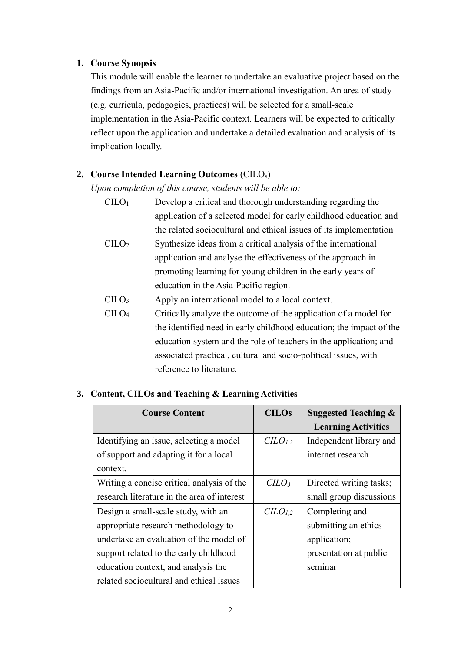# **1. Course Synopsis**

This module will enable the learner to undertake an evaluative project based on the findings from an Asia-Pacific and/or international investigation. An area of study (e.g. curricula, pedagogies, practices) will be selected for a small-scale implementation in the Asia-Pacific context. Learners will be expected to critically reflect upon the application and undertake a detailed evaluation and analysis of its implication locally.

#### **2. Course Intended Learning Outcomes** (CILOs)

*Upon completion of this course, students will be able to:*

| C <sub>II</sub> O <sub>1</sub> | Develop a critical and thorough understanding regarding the         |
|--------------------------------|---------------------------------------------------------------------|
|                                | application of a selected model for early childhood education and   |
|                                | the related sociocultural and ethical issues of its implementation  |
| C <sub>1</sub> LO <sub>2</sub> | Synthesize ideas from a critical analysis of the international      |
|                                | application and analyse the effectiveness of the approach in        |
|                                | promoting learning for young children in the early years of         |
|                                | education in the Asia-Pacific region.                               |
| C <sub>1</sub> LO <sub>3</sub> | Apply an international model to a local context.                    |
| C <sub>1</sub> CO <sub>4</sub> | Critically analyze the outcome of the application of a model for    |
|                                | the identified need in early childhood education; the impact of the |
|                                | education system and the role of teachers in the application; and   |
|                                | associated practical, cultural and socio-political issues, with     |

| reference to literature. |  |
|--------------------------|--|
|                          |  |

**3. Content, CILOs and Teaching & Learning Activities** 

| <b>Course Content</b>                       | <b>CILOs</b> | <b>Suggested Teaching &amp;</b> |
|---------------------------------------------|--------------|---------------------------------|
|                                             |              | <b>Learning Activities</b>      |
| Identifying an issue, selecting a model     | $CLO_{1,2}$  | Independent library and         |
| of support and adapting it for a local      |              | internet research               |
| context.                                    |              |                                 |
| Writing a concise critical analysis of the  | $C LO_3$     | Directed writing tasks;         |
| research literature in the area of interest |              | small group discussions         |
| Design a small-scale study, with an         | $CLO_{1,2}$  | Completing and                  |
| appropriate research methodology to         |              | submitting an ethics            |
| undertake an evaluation of the model of     |              | application;                    |
| support related to the early childhood      |              | presentation at public          |
| education context, and analysis the         |              | seminar                         |
| related sociocultural and ethical issues    |              |                                 |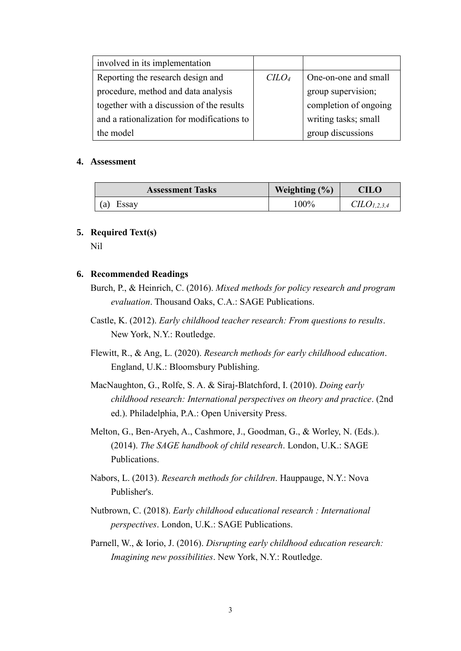| involved in its implementation             |                             |                       |
|--------------------------------------------|-----------------------------|-----------------------|
| Reporting the research design and          | C <sub>LO<sub>4</sub></sub> | One-on-one and small  |
| procedure, method and data analysis        |                             | group supervision;    |
| together with a discussion of the results  |                             | completion of ongoing |
| and a rationalization for modifications to |                             | writing tasks; small  |
| the model                                  |                             | group discussions     |

#### **4. Assessment**

| <b>Assessment Tasks</b> | Weighting $(\% )$ | CILO            |
|-------------------------|-------------------|-----------------|
| Essay<br>(a)            | 100%              | $CLO_{1,2,3,4}$ |

## **5. Required Text(s)**

Nil

## **6. Recommended Readings**

- Burch, P., & Heinrich, C. (2016). *Mixed methods for policy research and program evaluation*. Thousand Oaks, C.A.: SAGE Publications.
- Castle, K. (2012). *Early childhood teacher research: From questions to results*. New York, N.Y.: Routledge.
- Flewitt, R., & Ang, L. (2020). *Research methods for early childhood education*. England, U.K.: Bloomsbury Publishing.
- MacNaughton, G., Rolfe, S. A. & Siraj-Blatchford, I. (2010). *Doing early childhood research: International perspectives on theory and practice*. (2nd ed.). Philadelphia, P.A.: Open University Press.
- Melton, G., Ben-Aryeh, A., Cashmore, J., Goodman, G., & Worley, N. (Eds.). (2014). *The SAGE handbook of child research*. London, U.K.: SAGE Publications.
- Nabors, L. (2013). *Research methods for children*. Hauppauge, N.Y.: Nova Publisher's.
- Nutbrown, C. (2018). *Early childhood educational research : International perspectives*. London, U.K.: SAGE Publications.
- Parnell, W., & Iorio, J. (2016). *Disrupting early childhood education research: Imagining new possibilities*. New York, N.Y.: Routledge.